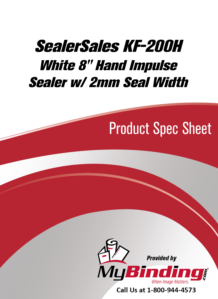## [SealerSales KF-200H](http://www.mybinding.com/sealersales-kf-series-8-hand-impulse-sealers.html?sku=KF-200H-WHITE)  White 8" Hand Impulse Sealer w/ 2mm Seal Width

# Product Spec Sheet



Call Us at 1-800-944-4573